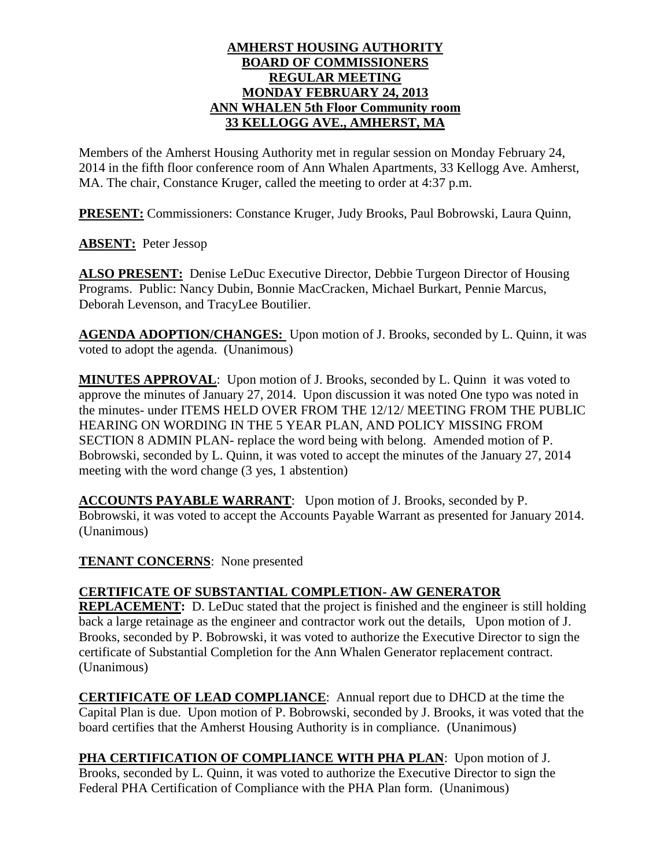#### **AMHERST HOUSING AUTHORITY BOARD OF COMMISSIONERS REGULAR MEETING MONDAY FEBRUARY 24, 2013 ANN WHALEN 5th Floor Community room 33 KELLOGG AVE., AMHERST, MA**

Members of the Amherst Housing Authority met in regular session on Monday February 24, 2014 in the fifth floor conference room of Ann Whalen Apartments, 33 Kellogg Ave. Amherst, MA. The chair, Constance Kruger, called the meeting to order at 4:37 p.m.

**PRESENT:** Commissioners: Constance Kruger, Judy Brooks, Paul Bobrowski, Laura Quinn,

**ABSENT:** Peter Jessop

**ALSO PRESENT:** Denise LeDuc Executive Director, Debbie Turgeon Director of Housing Programs. Public: Nancy Dubin, Bonnie MacCracken, Michael Burkart, Pennie Marcus, Deborah Levenson, and TracyLee Boutilier.

**AGENDA ADOPTION/CHANGES:** Upon motion of J. Brooks, seconded by L. Quinn, it was voted to adopt the agenda. (Unanimous)

**MINUTES APPROVAL**: Upon motion of J. Brooks, seconded by L. Quinn it was voted to approve the minutes of January 27, 2014. Upon discussion it was noted One typo was noted in the minutes- under ITEMS HELD OVER FROM THE 12/12/ MEETING FROM THE PUBLIC HEARING ON WORDING IN THE 5 YEAR PLAN, AND POLICY MISSING FROM SECTION 8 ADMIN PLAN- replace the word being with belong. Amended motion of P. Bobrowski, seconded by L. Quinn, it was voted to accept the minutes of the January 27, 2014 meeting with the word change (3 yes, 1 abstention)

**ACCOUNTS PAYABLE WARRANT**: Upon motion of J. Brooks, seconded by P. Bobrowski, it was voted to accept the Accounts Payable Warrant as presented for January 2014. (Unanimous)

**TENANT CONCERNS**: None presented

# **CERTIFICATE OF SUBSTANTIAL COMPLETION- AW GENERATOR**

**REPLACEMENT:** D. LeDuc stated that the project is finished and the engineer is still holding back a large retainage as the engineer and contractor work out the details, Upon motion of J. Brooks, seconded by P. Bobrowski, it was voted to authorize the Executive Director to sign the certificate of Substantial Completion for the Ann Whalen Generator replacement contract. (Unanimous)

**CERTIFICATE OF LEAD COMPLIANCE**: Annual report due to DHCD at the time the Capital Plan is due. Upon motion of P. Bobrowski, seconded by J. Brooks, it was voted that the board certifies that the Amherst Housing Authority is in compliance. (Unanimous)

**PHA CERTIFICATION OF COMPLIANCE WITH PHA PLAN**: Upon motion of J. Brooks, seconded by L. Quinn, it was voted to authorize the Executive Director to sign the Federal PHA Certification of Compliance with the PHA Plan form. (Unanimous)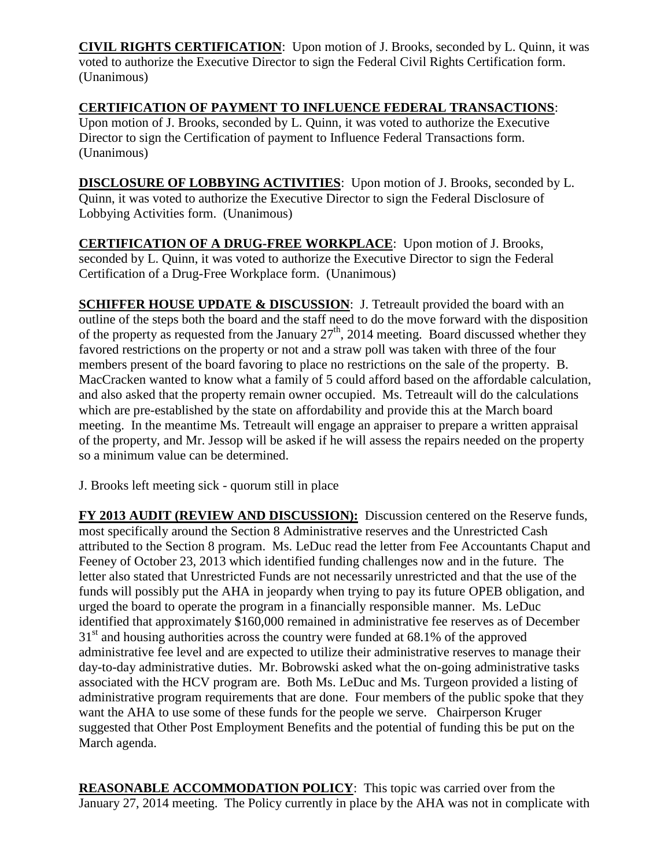**CIVIL RIGHTS CERTIFICATION**: Upon motion of J. Brooks, seconded by L. Quinn, it was voted to authorize the Executive Director to sign the Federal Civil Rights Certification form. (Unanimous)

## **CERTIFICATION OF PAYMENT TO INFLUENCE FEDERAL TRANSACTIONS**:

Upon motion of J. Brooks, seconded by L. Quinn, it was voted to authorize the Executive Director to sign the Certification of payment to Influence Federal Transactions form. (Unanimous)

**DISCLOSURE OF LOBBYING ACTIVITIES**: Upon motion of J. Brooks, seconded by L. Quinn, it was voted to authorize the Executive Director to sign the Federal Disclosure of Lobbying Activities form. (Unanimous)

**CERTIFICATION OF A DRUG-FREE WORKPLACE**: Upon motion of J. Brooks, seconded by L. Quinn, it was voted to authorize the Executive Director to sign the Federal Certification of a Drug-Free Workplace form. (Unanimous)

**SCHIFFER HOUSE UPDATE & DISCUSSION: J. Tetreault provided the board with an** outline of the steps both the board and the staff need to do the move forward with the disposition of the property as requested from the January  $27<sup>th</sup>$ , 2014 meeting. Board discussed whether they favored restrictions on the property or not and a straw poll was taken with three of the four members present of the board favoring to place no restrictions on the sale of the property. B. MacCracken wanted to know what a family of 5 could afford based on the affordable calculation, and also asked that the property remain owner occupied. Ms. Tetreault will do the calculations which are pre-established by the state on affordability and provide this at the March board meeting. In the meantime Ms. Tetreault will engage an appraiser to prepare a written appraisal of the property, and Mr. Jessop will be asked if he will assess the repairs needed on the property so a minimum value can be determined.

J. Brooks left meeting sick - quorum still in place

**FY 2013 AUDIT (REVIEW AND DISCUSSION):** Discussion centered on the Reserve funds, most specifically around the Section 8 Administrative reserves and the Unrestricted Cash attributed to the Section 8 program. Ms. LeDuc read the letter from Fee Accountants Chaput and Feeney of October 23, 2013 which identified funding challenges now and in the future. The letter also stated that Unrestricted Funds are not necessarily unrestricted and that the use of the funds will possibly put the AHA in jeopardy when trying to pay its future OPEB obligation, and urged the board to operate the program in a financially responsible manner. Ms. LeDuc identified that approximately \$160,000 remained in administrative fee reserves as of December  $31<sup>st</sup>$  and housing authorities across the country were funded at 68.1% of the approved administrative fee level and are expected to utilize their administrative reserves to manage their day-to-day administrative duties. Mr. Bobrowski asked what the on-going administrative tasks associated with the HCV program are. Both Ms. LeDuc and Ms. Turgeon provided a listing of administrative program requirements that are done. Four members of the public spoke that they want the AHA to use some of these funds for the people we serve. Chairperson Kruger suggested that Other Post Employment Benefits and the potential of funding this be put on the March agenda.

**REASONABLE ACCOMMODATION POLICY**: This topic was carried over from the January 27, 2014 meeting. The Policy currently in place by the AHA was not in complicate with